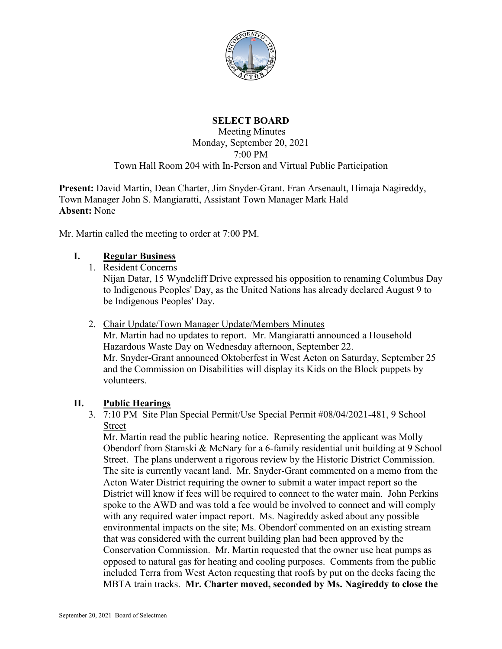

## **SELECT BOARD**

#### Meeting Minutes Monday, September 20, 2021 7:00 PM Town Hall Room 204 with In-Person and Virtual Public Participation

**Present:** David Martin, Dean Charter, Jim Snyder-Grant. Fran Arsenault, Himaja Nagireddy, Town Manager John S. Mangiaratti, Assistant Town Manager Mark Hald **Absent:** None

Mr. Martin called the meeting to order at 7:00 PM.

### **I. Regular Business**

1. Resident Concerns

Nijan Datar, 15 Wyndcliff Drive expressed his opposition to renaming Columbus Day to Indigenous Peoples' Day, as the United Nations has already declared August 9 to be Indigenous Peoples' Day.

2. Chair Update/Town Manager Update/Members Minutes

Mr. Martin had no updates to report. Mr. Mangiaratti announced a Household Hazardous Waste Day on Wednesday afternoon, September 22. Mr. Snyder-Grant announced Oktoberfest in West Acton on Saturday, September 25 and the Commission on Disabilities will display its Kids on the Block puppets by volunteers.

## **II. Public Hearings**

### 3. 7:10 PM Site Plan Special Permit/Use Special Permit #08/04/2021-481, 9 School Street

Mr. Martin read the public hearing notice. Representing the applicant was Molly Obendorf from Stamski & McNary for a 6-family residential unit building at 9 School Street. The plans underwent a rigorous review by the Historic District Commission. The site is currently vacant land. Mr. Snyder-Grant commented on a memo from the Acton Water District requiring the owner to submit a water impact report so the District will know if fees will be required to connect to the water main. John Perkins spoke to the AWD and was told a fee would be involved to connect and will comply with any required water impact report. Ms. Nagireddy asked about any possible environmental impacts on the site; Ms. Obendorf commented on an existing stream that was considered with the current building plan had been approved by the Conservation Commission. Mr. Martin requested that the owner use heat pumps as opposed to natural gas for heating and cooling purposes. Comments from the public included Terra from West Acton requesting that roofs by put on the decks facing the MBTA train tracks. **Mr. Charter moved, seconded by Ms. Nagireddy to close the**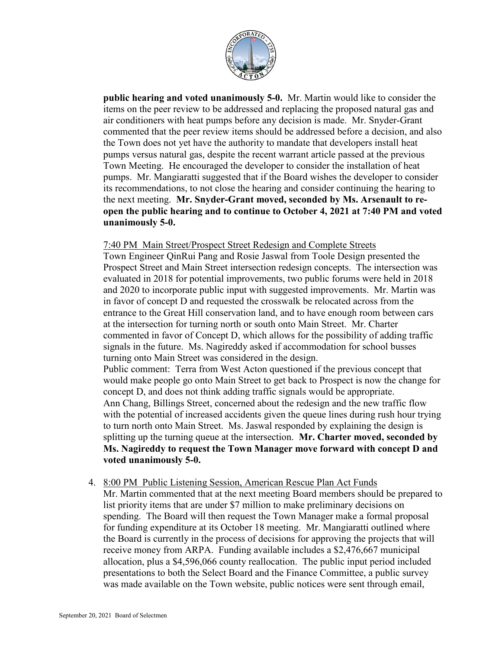

**public hearing and voted unanimously 5-0.** Mr. Martin would like to consider the items on the peer review to be addressed and replacing the proposed natural gas and air conditioners with heat pumps before any decision is made. Mr. Snyder-Grant commented that the peer review items should be addressed before a decision, and also the Town does not yet have the authority to mandate that developers install heat pumps versus natural gas, despite the recent warrant article passed at the previous Town Meeting. He encouraged the developer to consider the installation of heat pumps. Mr. Mangiaratti suggested that if the Board wishes the developer to consider its recommendations, to not close the hearing and consider continuing the hearing to the next meeting. **Mr. Snyder-Grant moved, seconded by Ms. Arsenault to reopen the public hearing and to continue to October 4, 2021 at 7:40 PM and voted unanimously 5-0.**

#### 7:40 PM Main Street/Prospect Street Redesign and Complete Streets

Town Engineer QinRui Pang and Rosie Jaswal from Toole Design presented the Prospect Street and Main Street intersection redesign concepts. The intersection was evaluated in 2018 for potential improvements, two public forums were held in 2018 and 2020 to incorporate public input with suggested improvements. Mr. Martin was in favor of concept D and requested the crosswalk be relocated across from the entrance to the Great Hill conservation land, and to have enough room between cars at the intersection for turning north or south onto Main Street. Mr. Charter commented in favor of Concept D, which allows for the possibility of adding traffic signals in the future. Ms. Nagireddy asked if accommodation for school busses turning onto Main Street was considered in the design.

Public comment: Terra from West Acton questioned if the previous concept that would make people go onto Main Street to get back to Prospect is now the change for concept D, and does not think adding traffic signals would be appropriate. Ann Chang, Billings Street, concerned about the redesign and the new traffic flow with the potential of increased accidents given the queue lines during rush hour trying to turn north onto Main Street. Ms. Jaswal responded by explaining the design is splitting up the turning queue at the intersection. **Mr. Charter moved, seconded by Ms. Nagireddy to request the Town Manager move forward with concept D and voted unanimously 5-0.**

4. 8:00 PM Public Listening Session, American Rescue Plan Act Funds

Mr. Martin commented that at the next meeting Board members should be prepared to list priority items that are under \$7 million to make preliminary decisions on spending. The Board will then request the Town Manager make a formal proposal for funding expenditure at its October 18 meeting. Mr. Mangiaratti outlined where the Board is currently in the process of decisions for approving the projects that will receive money from ARPA. Funding available includes a \$2,476,667 municipal allocation, plus a \$4,596,066 county reallocation. The public input period included presentations to both the Select Board and the Finance Committee, a public survey was made available on the Town website, public notices were sent through email,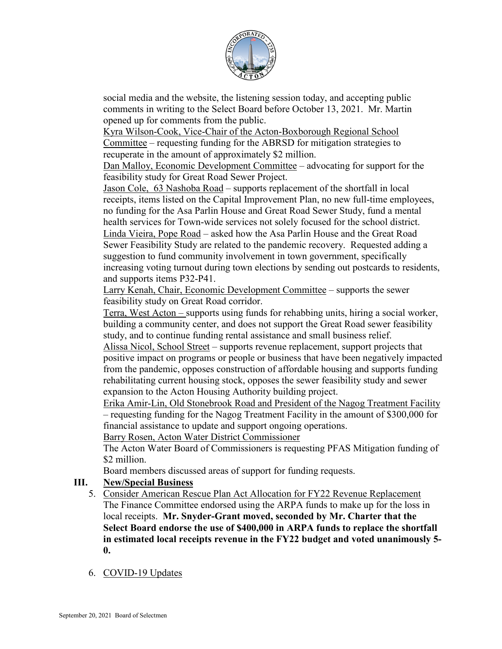

social media and the website, the listening session today, and accepting public comments in writing to the Select Board before October 13, 2021. Mr. Martin opened up for comments from the public.

Kyra Wilson-Cook, Vice-Chair of the Acton-Boxborough Regional School Committee – requesting funding for the ABRSD for mitigation strategies to recuperate in the amount of approximately \$2 million.

Dan Malloy, Economic Development Committee – advocating for support for the feasibility study for Great Road Sewer Project.

Jason Cole, 63 Nashoba Road – supports replacement of the shortfall in local receipts, items listed on the Capital Improvement Plan, no new full-time employees, no funding for the Asa Parlin House and Great Road Sewer Study, fund a mental health services for Town-wide services not solely focused for the school district. Linda Vieira, Pope Road – asked how the Asa Parlin House and the Great Road Sewer Feasibility Study are related to the pandemic recovery. Requested adding a suggestion to fund community involvement in town government, specifically increasing voting turnout during town elections by sending out postcards to residents, and supports items P32-P41.

Larry Kenah, Chair, Economic Development Committee – supports the sewer feasibility study on Great Road corridor.

Terra, West Acton – supports using funds for rehabbing units, hiring a social worker, building a community center, and does not support the Great Road sewer feasibility study, and to continue funding rental assistance and small business relief.

Alissa Nicol, School Street – supports revenue replacement, support projects that positive impact on programs or people or business that have been negatively impacted from the pandemic, opposes construction of affordable housing and supports funding rehabilitating current housing stock, opposes the sewer feasibility study and sewer expansion to the Acton Housing Authority building project.

Erika Amir-Lin, Old Stonebrook Road and President of the Nagog Treatment Facility – requesting funding for the Nagog Treatment Facility in the amount of \$300,000 for financial assistance to update and support ongoing operations.

Barry Rosen, Acton Water District Commissioner

The Acton Water Board of Commissioners is requesting PFAS Mitigation funding of \$2 million.

Board members discussed areas of support for funding requests.

# **III. New/Special Business**

- 5. Consider American Rescue Plan Act Allocation for FY22 Revenue Replacement The Finance Committee endorsed using the ARPA funds to make up for the loss in local receipts. **Mr. Snyder-Grant moved, seconded by Mr. Charter that the Select Board endorse the use of \$400,000 in ARPA funds to replace the shortfall in estimated local receipts revenue in the FY22 budget and voted unanimously 5- 0.**
- 6. COVID-19 Updates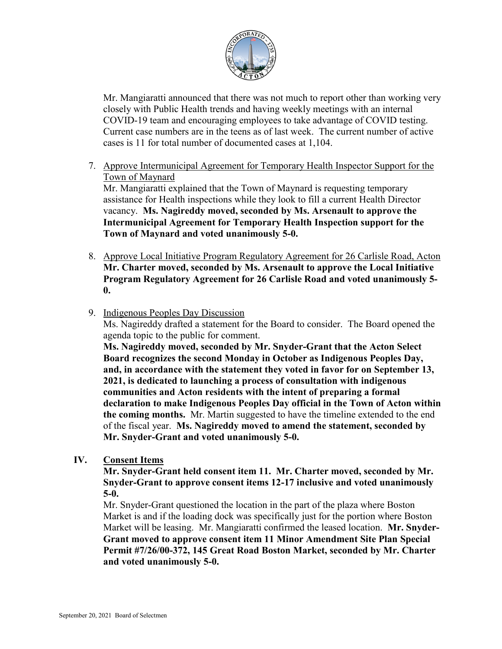

Mr. Mangiaratti announced that there was not much to report other than working very closely with Public Health trends and having weekly meetings with an internal COVID-19 team and encouraging employees to take advantage of COVID testing. Current case numbers are in the teens as of last week. The current number of active cases is 11 for total number of documented cases at 1,104.

7. Approve Intermunicipal Agreement for Temporary Health Inspector Support for the Town of Maynard

Mr. Mangiaratti explained that the Town of Maynard is requesting temporary assistance for Health inspections while they look to fill a current Health Director vacancy. **Ms. Nagireddy moved, seconded by Ms. Arsenault to approve the Intermunicipal Agreement for Temporary Health Inspection support for the Town of Maynard and voted unanimously 5-0.**

- 8. Approve Local Initiative Program Regulatory Agreement for 26 Carlisle Road, Acton **Mr. Charter moved, seconded by Ms. Arsenault to approve the Local Initiative Program Regulatory Agreement for 26 Carlisle Road and voted unanimously 5- 0.**
- 9. Indigenous Peoples Day Discussion

Ms. Nagireddy drafted a statement for the Board to consider. The Board opened the agenda topic to the public for comment.

**Ms. Nagireddy moved, seconded by Mr. Snyder-Grant that the Acton Select Board recognizes the second Monday in October as Indigenous Peoples Day, and, in accordance with the statement they voted in favor for on September 13, 2021, is dedicated to launching a process of consultation with indigenous communities and Acton residents with the intent of preparing a formal declaration to make Indigenous Peoples Day official in the Town of Acton within the coming months.** Mr. Martin suggested to have the timeline extended to the end of the fiscal year. **Ms. Nagireddy moved to amend the statement, seconded by Mr. Snyder-Grant and voted unanimously 5-0.**

**IV. Consent Items** 

**Mr. Snyder-Grant held consent item 11. Mr. Charter moved, seconded by Mr. Snyder-Grant to approve consent items 12-17 inclusive and voted unanimously 5-0.**

Mr. Snyder-Grant questioned the location in the part of the plaza where Boston Market is and if the loading dock was specifically just for the portion where Boston Market will be leasing. Mr. Mangiaratti confirmed the leased location. **Mr. Snyder-Grant moved to approve consent item 11 Minor Amendment Site Plan Special Permit #7/26/00-372, 145 Great Road Boston Market, seconded by Mr. Charter and voted unanimously 5-0.**